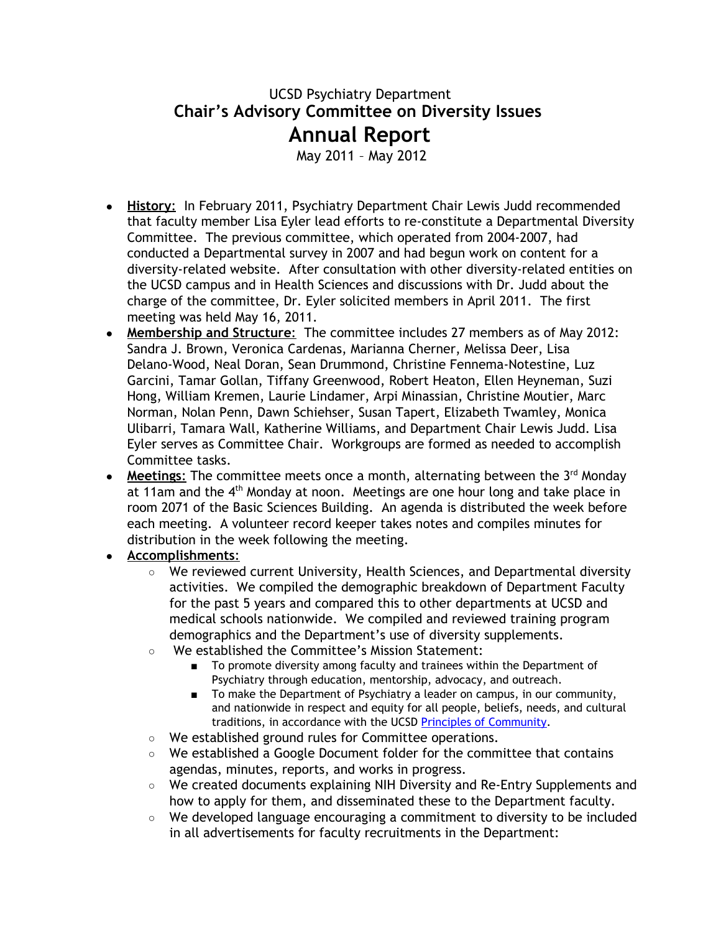## UCSD Psychiatry Department **Chair's Advisory Committee on Diversity Issues Annual Report**

May 2011 – May 2012

- **History**: In February 2011, Psychiatry Department Chair Lewis Judd recommended that faculty member Lisa Eyler lead efforts to re-constitute a Departmental Diversity Committee. The previous committee, which operated from 2004-2007, had conducted a Departmental survey in 2007 and had begun work on content for a diversity-related website. After consultation with other diversity-related entities on the UCSD campus and in Health Sciences and discussions with Dr. Judd about the charge of the committee, Dr. Eyler solicited members in April 2011. The first meeting was held May 16, 2011.
- **Membership and Structure:** The committee includes 27 members as of May 2012: Sandra J. Brown, Veronica Cardenas, Marianna Cherner, Melissa Deer, Lisa Delano-Wood, Neal Doran, Sean Drummond, Christine Fennema-Notestine, Luz Garcini, Tamar Gollan, Tiffany Greenwood, Robert Heaton, Ellen Heyneman, Suzi Hong, William Kremen, Laurie Lindamer, Arpi Minassian, Christine Moutier, Marc Norman, Nolan Penn, Dawn Schiehser, Susan Tapert, Elizabeth Twamley, Monica Ulibarri, Tamara Wall, Katherine Williams, and Department Chair Lewis Judd. Lisa Eyler serves as Committee Chair. Workgroups are formed as needed to accomplish Committee tasks.
- **Meetings:** The committee meets once a month, alternating between the 3<sup>rd</sup> Monday at 11am and the 4<sup>th</sup> Monday at noon. Meetings are one hour long and take place in room 2071 of the Basic Sciences Building. An agenda is distributed the week before each meeting. A volunteer record keeper takes notes and compiles minutes for distribution in the week following the meeting.

## ● **Accomplishments**:

- We reviewed current University, Health Sciences, and Departmental diversity activities. We compiled the demographic breakdown of Department Faculty for the past 5 years and compared this to other departments at UCSD and medical schools nationwide. We compiled and reviewed training program demographics and the Department's use of diversity supplements.
- We established the Committee's Mission Statement:
	- To promote diversity among faculty and trainees within the Department of Psychiatry through education, mentorship, advocacy, and outreach.
	- To make the Department of Psychiatry a leader on campus, in our community, and nationwide in respect and equity for all people, beliefs, needs, and cultural traditions, in accordance with the UCSD Principles of [Community.](http://www.google.com/url?q=http%3A%2F%2Fwww-vcba.ucsd.edu%2Fprinciples.htm&sa=D&sntz=1&usg=AFQjCNG-3nJeimDCPS8BoD5c05eAnRGUhw)
- We established ground rules for Committee operations.
- We established a Google Document folder for the committee that contains agendas, minutes, reports, and works in progress.
- We created documents explaining NIH Diversity and Re-Entry Supplements and how to apply for them, and disseminated these to the Department faculty.
- We developed language encouraging a commitment to diversity to be included in all advertisements for faculty recruitments in the Department: